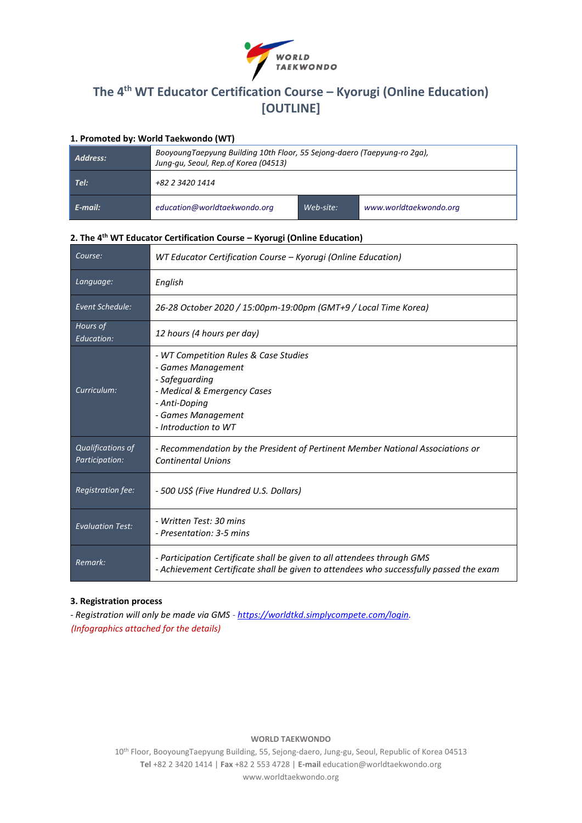

# **The 4th WT Educator Certification Course – Kyorugi (Online Education) [OUTLINE]**

# **1. Promoted by: World Taekwondo (WT)**

| Address: | BooyoungTaepyung Building 10th Floor, 55 Sejong-daero (Taepyung-ro 2ga),<br>Jung-gu, Seoul, Rep.of Korea (04513) |           |                        |  |  |
|----------|------------------------------------------------------------------------------------------------------------------|-----------|------------------------|--|--|
| Tel:     | +82 2 3420 1414                                                                                                  |           |                        |  |  |
| E-mail:  | education@worldtaekwondo.org                                                                                     | Web-site: | www.worldtaekwondo.org |  |  |

# **2. The 4th WT Educator Certification Course – Kyorugi (Online Education)**

| Course:                             | WT Educator Certification Course - Kyorugi (Online Education)                                                                                                               |  |  |
|-------------------------------------|-----------------------------------------------------------------------------------------------------------------------------------------------------------------------------|--|--|
| Language:                           | English                                                                                                                                                                     |  |  |
| Event Schedule:                     | 26-28 October 2020 / 15:00pm-19:00pm (GMT+9 / Local Time Korea)                                                                                                             |  |  |
| Hours of<br>Education:              | 12 hours (4 hours per day)                                                                                                                                                  |  |  |
| Curriculum:                         | - WT Competition Rules & Case Studies<br>- Games Management<br>- Safeguarding<br>- Medical & Emergency Cases<br>- Anti-Doping<br>- Games Management<br>- Introduction to WT |  |  |
| Qualifications of<br>Participation: | - Recommendation by the President of Pertinent Member National Associations or<br><b>Continental Unions</b>                                                                 |  |  |
| Registration fee:                   | - 500 US\$ (Five Hundred U.S. Dollars)                                                                                                                                      |  |  |
| <b>Evaluation Test:</b>             | - Written Test: 30 mins<br>- Presentation: 3-5 mins                                                                                                                         |  |  |
| Remark:                             | - Participation Certificate shall be given to all attendees through GMS<br>- Achievement Certificate shall be given to attendees who successfully passed the exam           |  |  |

# **3. Registration process**

*- Registration will only be made via GMS - [https://worldtkd.simplycompete.com/login.](https://worldtkd.simplycompete.com/login) (Infographics attached for the details)*

# **WORLD TAEKWONDO**

10th Floor, BooyoungTaepyung Building, 55, Sejong-daero, Jung-gu, Seoul, Republic of Korea 04513 **Tel** +82 2 3420 1414 | **Fax** +82 2 553 4728 | **E-mail** education@worldtaekwondo.org www.worldtaekwondo.org